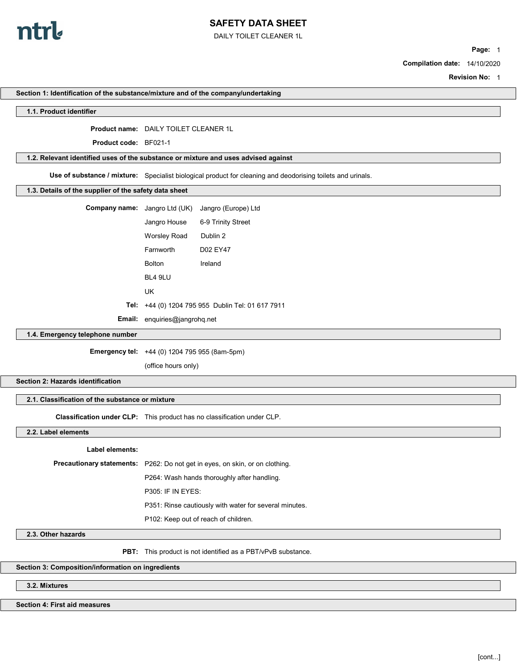

DAILY TOILET CLEANER 1L

Section 1: Identification of the substance/mixture and of the company/undertaking

Page: 1

Compilation date: 14/10/2020

Revision No: 1

| 1.1. Product identifier                                                            |                                                      |                                                                                                             |
|------------------------------------------------------------------------------------|------------------------------------------------------|-------------------------------------------------------------------------------------------------------------|
|                                                                                    | <b>Product name: DAILY TOILET CLEANER 1L</b>         |                                                                                                             |
| <b>Product code: BF021-1</b>                                                       |                                                      |                                                                                                             |
| 1.2. Relevant identified uses of the substance or mixture and uses advised against |                                                      |                                                                                                             |
|                                                                                    |                                                      |                                                                                                             |
|                                                                                    |                                                      | Use of substance / mixture: Specialist biological product for cleaning and deodorising toilets and urinals. |
| 1.3. Details of the supplier of the safety data sheet                              |                                                      |                                                                                                             |
| Company name: Jangro Ltd (UK)                                                      |                                                      | Jangro (Europe) Ltd                                                                                         |
|                                                                                    | Jangro House                                         | 6-9 Trinity Street                                                                                          |
|                                                                                    | <b>Worsley Road</b>                                  | Dublin 2                                                                                                    |
|                                                                                    | Farnworth                                            | D02 EY47                                                                                                    |
|                                                                                    | <b>Bolton</b>                                        | Ireland                                                                                                     |
|                                                                                    | BL4 9LU                                              |                                                                                                             |
|                                                                                    | UK                                                   |                                                                                                             |
|                                                                                    | Tel: +44 (0) 1204 795 955 Dublin Tel: 01 617 7911    |                                                                                                             |
|                                                                                    | Email: enquiries@jangrohq.net                        |                                                                                                             |
| 1.4. Emergency telephone number                                                    |                                                      |                                                                                                             |
|                                                                                    | <b>Emergency tel:</b> +44 (0) 1204 795 955 (8am-5pm) |                                                                                                             |
|                                                                                    | (office hours only)                                  |                                                                                                             |
| Section 2: Hazards identification                                                  |                                                      |                                                                                                             |
|                                                                                    |                                                      |                                                                                                             |
| 2.1. Classification of the substance or mixture                                    |                                                      |                                                                                                             |
| Classification under CLP: This product has no classification under CLP.            |                                                      |                                                                                                             |
| 2.2. Label elements                                                                |                                                      |                                                                                                             |
| <b>Label elements:</b>                                                             |                                                      |                                                                                                             |
|                                                                                    |                                                      | Precautionary statements: P262: Do not get in eyes, on skin, or on clothing.                                |
|                                                                                    |                                                      | P264: Wash hands thoroughly after handling.                                                                 |
|                                                                                    | P305: IF IN EYES:                                    |                                                                                                             |
|                                                                                    |                                                      | P351: Rinse cautiously with water for several minutes.                                                      |
|                                                                                    |                                                      | P102: Keep out of reach of children.                                                                        |
|                                                                                    |                                                      |                                                                                                             |
| 2.3. Other hazards                                                                 |                                                      |                                                                                                             |
|                                                                                    |                                                      | <b>PBT:</b> This product is not identified as a PBT/vPvB substance.                                         |
| Section 3: Composition/information on ingredients                                  |                                                      |                                                                                                             |
| 3.2. Mixtures                                                                      |                                                      |                                                                                                             |
|                                                                                    |                                                      |                                                                                                             |
| Section 4: First aid measures                                                      |                                                      |                                                                                                             |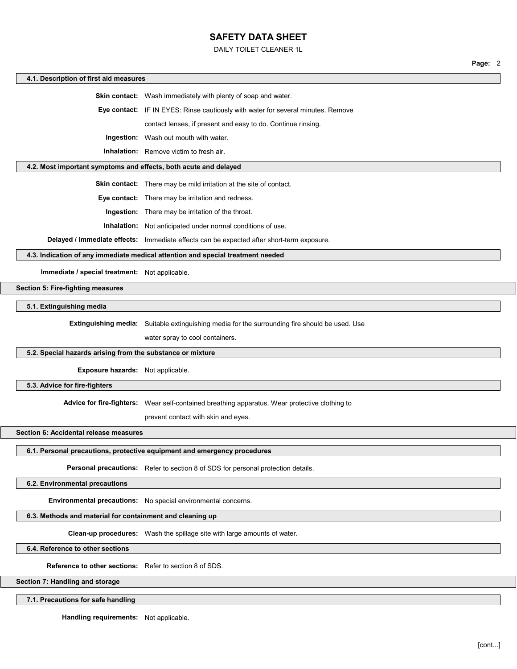DAILY TOILET CLEANER 1L

|                                                            | Page: 2                                                                                        |  |  |  |  |
|------------------------------------------------------------|------------------------------------------------------------------------------------------------|--|--|--|--|
| 4.1. Description of first aid measures                     |                                                                                                |  |  |  |  |
|                                                            | <b>Skin contact:</b> Wash immediately with plenty of soap and water.                           |  |  |  |  |
|                                                            | Eye contact: IF IN EYES: Rinse cautiously with water for several minutes. Remove               |  |  |  |  |
|                                                            | contact lenses, if present and easy to do. Continue rinsing.                                   |  |  |  |  |
|                                                            | <b>Ingestion:</b> Wash out mouth with water.                                                   |  |  |  |  |
|                                                            | <b>Inhalation:</b> Remove victim to fresh air.                                                 |  |  |  |  |
|                                                            | 4.2. Most important symptoms and effects, both acute and delayed                               |  |  |  |  |
|                                                            | Skin contact: There may be mild irritation at the site of contact.                             |  |  |  |  |
|                                                            | Eye contact: There may be irritation and redness.                                              |  |  |  |  |
|                                                            | Ingestion: There may be irritation of the throat.                                              |  |  |  |  |
|                                                            | <b>Inhalation:</b> Not anticipated under normal conditions of use.                             |  |  |  |  |
|                                                            | Delayed / immediate effects: Immediate effects can be expected after short-term exposure.      |  |  |  |  |
|                                                            | 4.3. Indication of any immediate medical attention and special treatment needed                |  |  |  |  |
| Immediate / special treatment: Not applicable.             |                                                                                                |  |  |  |  |
| Section 5: Fire-fighting measures                          |                                                                                                |  |  |  |  |
| 5.1. Extinguishing media                                   |                                                                                                |  |  |  |  |
|                                                            | Extinguishing media: Suitable extinguishing media for the surrounding fire should be used. Use |  |  |  |  |
|                                                            | water spray to cool containers.                                                                |  |  |  |  |
| 5.2. Special hazards arising from the substance or mixture |                                                                                                |  |  |  |  |
|                                                            |                                                                                                |  |  |  |  |
| Exposure hazards: Not applicable.                          |                                                                                                |  |  |  |  |
| 5.3. Advice for fire-fighters                              |                                                                                                |  |  |  |  |
|                                                            | Advice for fire-fighters: Wear self-contained breathing apparatus. Wear protective clothing to |  |  |  |  |
|                                                            | prevent contact with skin and eyes.                                                            |  |  |  |  |
| Section 6: Accidental release measures                     |                                                                                                |  |  |  |  |
|                                                            | 6.1. Personal precautions, protective equipment and emergency procedures                       |  |  |  |  |
|                                                            | Personal precautions: Refer to section 8 of SDS for personal protection details.               |  |  |  |  |
| 6.2. Environmental precautions                             |                                                                                                |  |  |  |  |
|                                                            | Environmental precautions: No special environmental concerns.                                  |  |  |  |  |

### 6.3. Methods and material for containment and cleaning up

Clean-up procedures: Wash the spillage site with large amounts of water.

6.4. Reference to other sections

Reference to other sections: Refer to section 8 of SDS.

Section 7: Handling and storage

7.1. Precautions for safe handling

Handling requirements: Not applicable.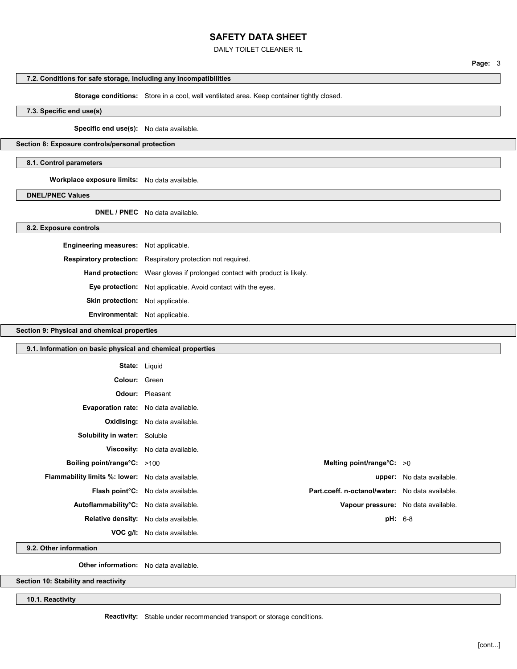DAILY TOILET CLEANER 1L

## 7.2. Conditions for safe storage, including any incompatibilities

Storage conditions: Store in a cool, well ventilated area. Keep container tightly closed.

7.3. Specific end use(s)

Specific end use(s): No data available.

Section 8: Exposure controls/personal protection

8.1. Control parameters

Workplace exposure limits: No data available.

DNEL/PNEC Values

DNEL / PNEC No data available.

#### 8.2. Exposure controls

| <b>Engineering measures:</b> Not applicable. |                                                                                  |  |
|----------------------------------------------|----------------------------------------------------------------------------------|--|
|                                              | <b>Respiratory protection:</b> Respiratory protection not required.              |  |
|                                              | <b>Hand protection:</b> Wear gloves if prolonged contact with product is likely. |  |
|                                              | <b>Eye protection:</b> Not applicable. Avoid contact with the eyes.              |  |
| <b>Skin protection:</b> Not applicable.      |                                                                                  |  |
| <b>Environmental:</b> Not applicable.        |                                                                                  |  |

Section 9: Physical and chemical properties

| 9.1. Information on basic physical and chemical properties |                                      |                                                 |                           |
|------------------------------------------------------------|--------------------------------------|-------------------------------------------------|---------------------------|
| <b>State: Liquid</b>                                       |                                      |                                                 |                           |
| Colour: Green                                              |                                      |                                                 |                           |
|                                                            | <b>Odour:</b> Pleasant               |                                                 |                           |
| <b>Evaporation rate:</b> No data available.                |                                      |                                                 |                           |
|                                                            | <b>Oxidising:</b> No data available. |                                                 |                           |
| <b>Solubility in water:</b> Soluble                        |                                      |                                                 |                           |
|                                                            | Viscosity: No data available.        |                                                 |                           |
| <b>Boiling point/range°C:</b> >100                         |                                      | Melting point/range $C: >0$                     |                           |
| <b>Flammability limits %: lower:</b> No data available.    |                                      |                                                 | upper: No data available. |
|                                                            | Flash point°C: No data available.    | Part.coeff. n-octanol/water: No data available. |                           |
| Autoflammability°C: No data available.                     |                                      | Vapour pressure: No data available.             |                           |
| Relative density: No data available.                       |                                      | <b>pH: 6-8</b>                                  |                           |
|                                                            | <b>VOC g/l:</b> No data available.   |                                                 |                           |

9.2. Other information

Other information: No data available.

Section 10: Stability and reactivity

10.1. Reactivity

Reactivity: Stable under recommended transport or storage conditions.

Page: 3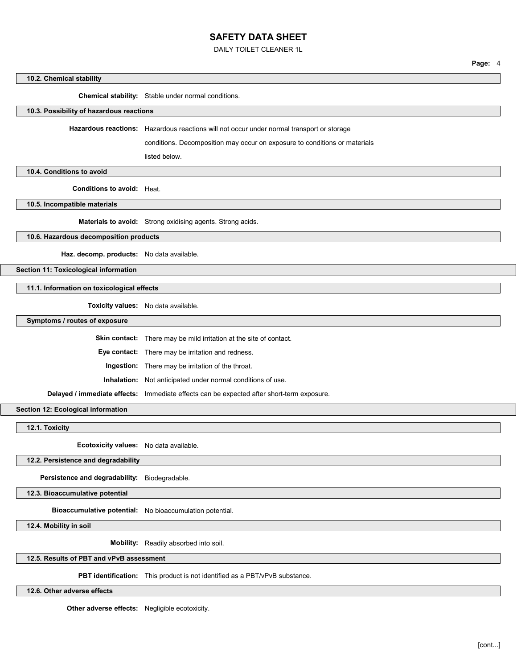DAILY TOILET CLEANER 1L

Page: 4

# 10.2. Chemical stability Chemical stability: Stable under normal conditions. 10.3. Possibility of hazardous reactions Hazardous reactions: Hazardous reactions will not occur under normal transport or storage conditions. Decomposition may occur on exposure to conditions or materials listed below. 10.4. Conditions to avoid Conditions to avoid: Heat. 10.5. Incompatible materials Materials to avoid: Strong oxidising agents. Strong acids. 10.6. Hazardous decomposition products Haz. decomp. products: No data available. Section 11: Toxicological information 11.1. Information on toxicological effects Toxicity values: No data available. Symptoms / routes of exposure Skin contact: There may be mild irritation at the site of contact. Eye contact: There may be irritation and redness. Ingestion: There may be irritation of the throat. Inhalation: Not anticipated under normal conditions of use. Delayed / immediate effects: Immediate effects can be expected after short-term exposure. Section 12: Ecological information 12.1. Toxicity Ecotoxicity values: No data available. 12.2. Persistence and degradability Persistence and degradability: Biodegradable. 12.3. Bioaccumulative potential Bioaccumulative potential: No bioaccumulation potential. 12.4. Mobility in soil Mobility: Readily absorbed into soil.

12.5. Results of PBT and vPvB assessment

PBT identification: This product is not identified as a PBT/vPvB substance.

12.6. Other adverse effects

Other adverse effects: Negligible ecotoxicity.